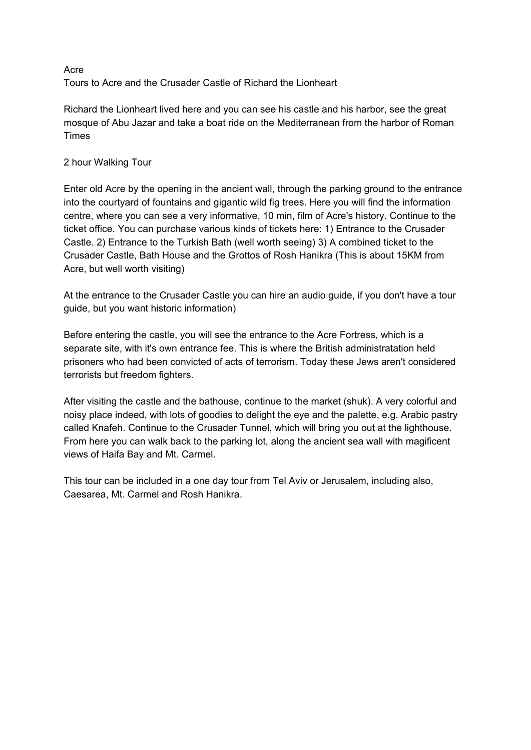## Acre Tours to Acre and the Crusader Castle of Richard the Lionheart

Richard the Lionheart lived here and you can see his castle and his harbor, see the great mosque of Abu Jazar and take a boat ride on the Mediterranean from the harbor of Roman Times

## 2 hour Walking Tour

Enter old Acre by the opening in the ancient wall, through the parking ground to the entrance into the courtyard of fountains and gigantic wild fig trees. Here you will find the information centre, where you can see a very informative, 10 min, film of Acre's history. Continue to the ticket office. You can purchase various kinds of tickets here: 1) Entrance to the Crusader Castle. 2) Entrance to the Turkish Bath (well worth seeing) 3) A combined ticket to the Crusader Castle, Bath House and the Grottos of Rosh Hanikra (This is about 15KM from Acre, but well worth visiting)

At the entrance to the Crusader Castle you can hire an audio guide, if you don't have a tour guide, but you want historic information)

Before entering the castle, you will see the entrance to the Acre Fortress, which is a separate site, with it's own entrance fee. This is where the British administratation held prisoners who had been convicted of acts of terrorism. Today these Jews aren't considered terrorists but freedom fighters.

After visiting the castle and the bathouse, continue to the market (shuk). A very colorful and noisy place indeed, with lots of goodies to delight the eye and the palette, e.g. Arabic pastry called Knafeh. Continue to the Crusader Tunnel, which will bring you out at the lighthouse. From here you can walk back to the parking lot, along the ancient sea wall with magificent views of Haifa Bay and Mt. Carmel.

This tour can be included in a one day tour from Tel Aviv or Jerusalem, including also, Caesarea, Mt. Carmel and Rosh Hanikra.